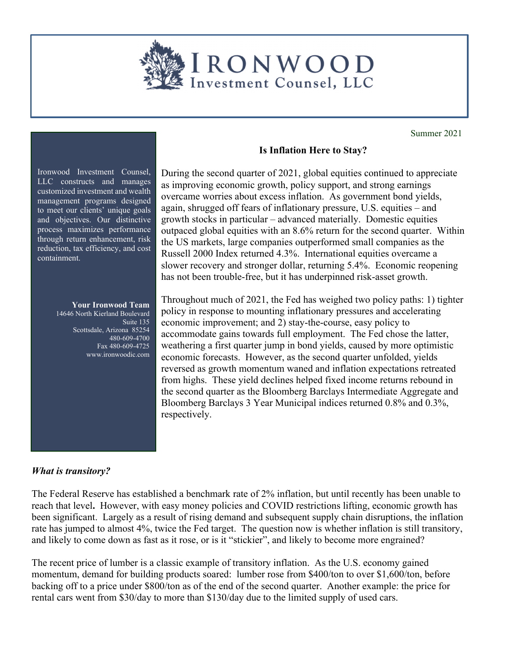

Summer 2021

Ironwood Investment Counsel, LLC constructs and manages customized investment and wealth management programs designed to meet our clients' unique goals and objectives. Our distinctive process maximizes performance through return enhancement, risk reduction, tax efficiency, and cost containment.

## **Your Ironwood Team**  14646 North Kierland Boulevard Suite 135 Scottsdale, Arizona 85254 480-609-4700 Fax 480-609-4725 www.ironwoodic.com

## **Is Inflation Here to Stay?**

During the second quarter of 2021, global equities continued to appreciate as improving economic growth, policy support, and strong earnings overcame worries about excess inflation. As government bond yields, again, shrugged off fears of inflationary pressure, U.S. equities – and growth stocks in particular – advanced materially. Domestic equities outpaced global equities with an 8.6% return for the second quarter. Within the US markets, large companies outperformed small companies as the Russell 2000 Index returned 4.3%. International equities overcame a slower recovery and stronger dollar, returning 5.4%. Economic reopening has not been trouble-free, but it has underpinned risk-asset growth.

Throughout much of 2021, the Fed has weighed two policy paths: 1) tighter policy in response to mounting inflationary pressures and accelerating economic improvement; and 2) stay-the-course, easy policy to accommodate gains towards full employment. The Fed chose the latter, weathering a first quarter jump in bond yields, caused by more optimistic economic forecasts. However, as the second quarter unfolded, yields reversed as growth momentum waned and inflation expectations retreated from highs. These yield declines helped fixed income returns rebound in the second quarter as the Bloomberg Barclays Intermediate Aggregate and Bloomberg Barclays 3 Year Municipal indices returned 0.8% and 0.3%, respectively.

## *What is transitory?*

The Federal Reserve has established a benchmark rate of 2% inflation, but until recently has been unable to reach that level**.** However, with easy money policies and COVID restrictions lifting, economic growth has been significant. Largely as a result of rising demand and subsequent supply chain disruptions, the inflation rate has jumped to almost 4%, twice the Fed target. The question now is whether inflation is still transitory, and likely to come down as fast as it rose, or is it "stickier", and likely to become more engrained?

The recent price of lumber is a classic example of transitory inflation. As the U.S. economy gained momentum, demand for building products soared: lumber rose from \$400/ton to over \$1,600/ton, before backing off to a price under \$800/ton as of the end of the second quarter. Another example: the price for rental cars went from \$30/day to more than \$130/day due to the limited supply of used cars.